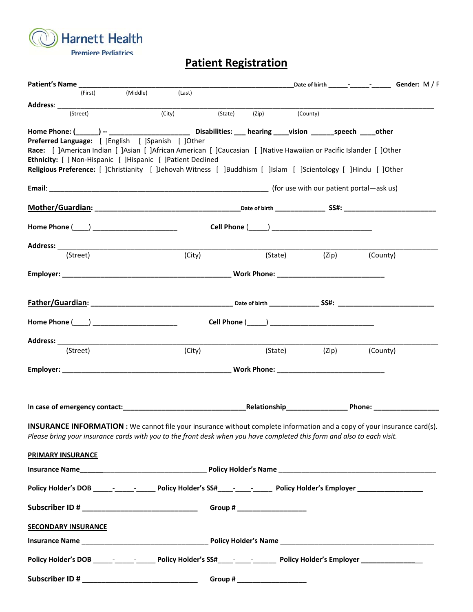**Harnett Health**  $\mathcal{I}$ **Premiere Pediatrics** 

## **Patient Registration**

| Patient's Name                                                                                                                                                  |                     |                        |  |               |       |          |
|-----------------------------------------------------------------------------------------------------------------------------------------------------------------|---------------------|------------------------|--|---------------|-------|----------|
| (First)                                                                                                                                                         | (Middle)            | (Last)                 |  |               |       |          |
|                                                                                                                                                                 |                     |                        |  |               |       |          |
| (Street)                                                                                                                                                        | $\overline{(City)}$ | (State) (Zip) (County) |  |               |       |          |
|                                                                                                                                                                 |                     |                        |  |               |       |          |
| Preferred Language: [ ]English [ ]Spanish [ ]Other                                                                                                              |                     |                        |  |               |       |          |
| Race: [ ]American Indian [ ]Asian [ ]African American [ ]Caucasian [ ]Native Hawaiian or Pacific Islander [ ]Other                                              |                     |                        |  |               |       |          |
| Ethnicity: [ ] Non-Hispanic [ ]Hispanic [ ]Patient Declined                                                                                                     |                     |                        |  |               |       |          |
| Religious Preference: [ ]Christianity [ ]Jehovah Witness [ ]Buddhism [ ]Islam [ ]Scientology [ ]Hindu [ ]Other                                                  |                     |                        |  |               |       |          |
|                                                                                                                                                                 |                     |                        |  |               |       |          |
|                                                                                                                                                                 |                     |                        |  |               |       |          |
|                                                                                                                                                                 |                     |                        |  |               |       |          |
|                                                                                                                                                                 |                     |                        |  |               |       |          |
|                                                                                                                                                                 |                     |                        |  |               |       |          |
|                                                                                                                                                                 |                     |                        |  |               |       |          |
| (Street)                                                                                                                                                        |                     | (City)                 |  | (State) (Zip) |       | (County) |
|                                                                                                                                                                 |                     |                        |  |               |       |          |
|                                                                                                                                                                 |                     |                        |  |               |       |          |
|                                                                                                                                                                 |                     |                        |  |               |       |          |
|                                                                                                                                                                 |                     |                        |  |               |       |          |
|                                                                                                                                                                 |                     |                        |  |               |       |          |
|                                                                                                                                                                 |                     |                        |  |               |       |          |
|                                                                                                                                                                 |                     |                        |  |               |       |          |
| (Street)                                                                                                                                                        |                     | (City)                 |  | (State)       | (Zip) | (County) |
|                                                                                                                                                                 |                     |                        |  |               |       |          |
|                                                                                                                                                                 |                     |                        |  |               |       |          |
|                                                                                                                                                                 |                     |                        |  |               |       |          |
|                                                                                                                                                                 |                     |                        |  |               |       |          |
| In case of emergency contact: entertainment and contact and contact and contact and contact and contact: the contact of Relationship entertainment and contact: |                     |                        |  |               |       |          |
|                                                                                                                                                                 |                     |                        |  |               |       |          |
| <b>INSURANCE INFORMATION</b> : We cannot file your insurance without complete information and a copy of your insurance card(s).                                 |                     |                        |  |               |       |          |
| Please bring your insurance cards with you to the front desk when you have completed this form and also to each visit.                                          |                     |                        |  |               |       |          |
| <b>PRIMARY INSURANCE</b>                                                                                                                                        |                     |                        |  |               |       |          |
|                                                                                                                                                                 |                     |                        |  |               |       |          |
|                                                                                                                                                                 |                     |                        |  |               |       |          |
| Policy Holder's DOB ______- _______________ Policy Holder's SS#_____- ________________ Policy Holder's Employer ____________________                            |                     |                        |  |               |       |          |
|                                                                                                                                                                 |                     |                        |  |               |       |          |
|                                                                                                                                                                 |                     |                        |  |               |       |          |
|                                                                                                                                                                 |                     |                        |  |               |       |          |
| <b>SECONDARY INSURANCE</b>                                                                                                                                      |                     |                        |  |               |       |          |
|                                                                                                                                                                 |                     |                        |  |               |       |          |
|                                                                                                                                                                 |                     |                        |  |               |       |          |
|                                                                                                                                                                 |                     |                        |  |               |       |          |
|                                                                                                                                                                 |                     |                        |  |               |       |          |
|                                                                                                                                                                 |                     |                        |  |               |       |          |